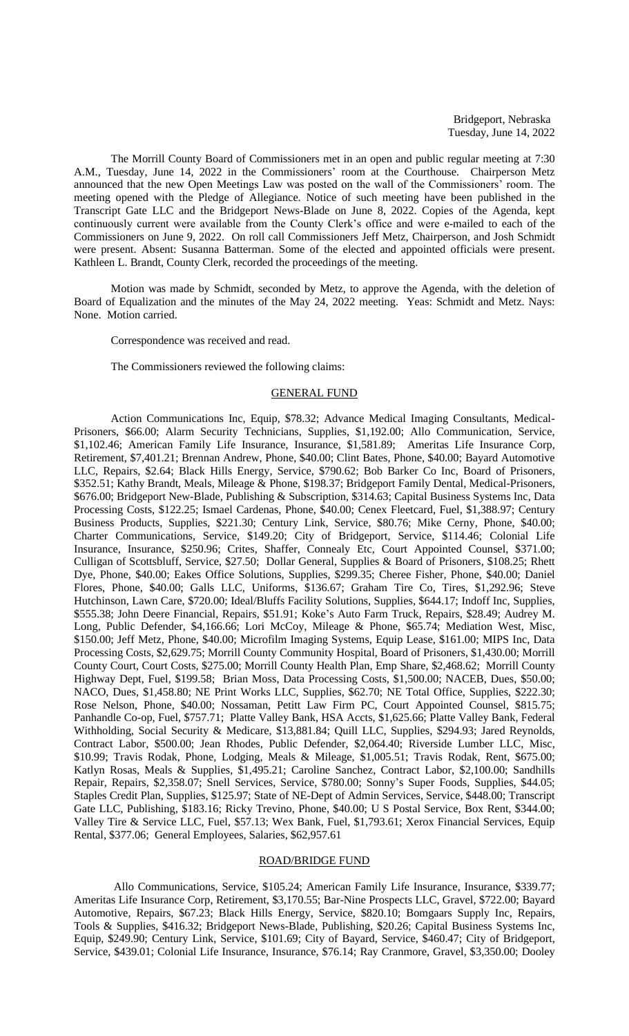The Morrill County Board of Commissioners met in an open and public regular meeting at 7:30 A.M., Tuesday, June 14, 2022 in the Commissioners' room at the Courthouse. Chairperson Metz announced that the new Open Meetings Law was posted on the wall of the Commissioners' room. The meeting opened with the Pledge of Allegiance. Notice of such meeting have been published in the Transcript Gate LLC and the Bridgeport News-Blade on June 8, 2022. Copies of the Agenda, kept continuously current were available from the County Clerk's office and were e-mailed to each of the Commissioners on June 9, 2022. On roll call Commissioners Jeff Metz, Chairperson, and Josh Schmidt were present. Absent: Susanna Batterman. Some of the elected and appointed officials were present. Kathleen L. Brandt, County Clerk, recorded the proceedings of the meeting.

Motion was made by Schmidt, seconded by Metz, to approve the Agenda, with the deletion of Board of Equalization and the minutes of the May 24, 2022 meeting. Yeas: Schmidt and Metz. Nays: None. Motion carried.

Correspondence was received and read.

The Commissioners reviewed the following claims:

# GENERAL FUND

Action Communications Inc, Equip, \$78.32; Advance Medical Imaging Consultants, Medical-Prisoners, \$66.00; Alarm Security Technicians, Supplies, \$1,192.00; Allo Communication, Service, \$1,102.46; American Family Life Insurance, Insurance, \$1,581.89; Ameritas Life Insurance Corp, Retirement, \$7,401.21; Brennan Andrew, Phone, \$40.00; Clint Bates, Phone, \$40.00; Bayard Automotive LLC, Repairs, \$2.64; Black Hills Energy, Service, \$790.62; Bob Barker Co Inc, Board of Prisoners, \$352.51; Kathy Brandt, Meals, Mileage & Phone, \$198.37; Bridgeport Family Dental, Medical-Prisoners, \$676.00; Bridgeport New-Blade, Publishing & Subscription, \$314.63; Capital Business Systems Inc, Data Processing Costs, \$122.25; Ismael Cardenas, Phone, \$40.00; Cenex Fleetcard, Fuel, \$1,388.97; Century Business Products, Supplies, \$221.30; Century Link, Service, \$80.76; Mike Cerny, Phone, \$40.00; Charter Communications, Service, \$149.20; City of Bridgeport, Service, \$114.46; Colonial Life Insurance, Insurance, \$250.96; Crites, Shaffer, Connealy Etc, Court Appointed Counsel, \$371.00; Culligan of Scottsbluff, Service, \$27.50; Dollar General, Supplies & Board of Prisoners, \$108.25; Rhett Dye, Phone, \$40.00; Eakes Office Solutions, Supplies, \$299.35; Cheree Fisher, Phone, \$40.00; Daniel Flores, Phone, \$40.00; Galls LLC, Uniforms, \$136.67; Graham Tire Co, Tires, \$1,292.96; Steve Hutchinson, Lawn Care, \$720.00; Ideal/Bluffs Facility Solutions, Supplies, \$644.17; Indoff Inc, Supplies, \$555.38; John Deere Financial, Repairs, \$51.91; Koke's Auto Farm Truck, Repairs, \$28.49; Audrey M. Long, Public Defender, \$4,166.66; Lori McCoy, Mileage & Phone, \$65.74; Mediation West, Misc, \$150.00; Jeff Metz, Phone, \$40.00; Microfilm Imaging Systems, Equip Lease, \$161.00; MIPS Inc, Data Processing Costs, \$2,629.75; Morrill County Community Hospital, Board of Prisoners, \$1,430.00; Morrill County Court, Court Costs, \$275.00; Morrill County Health Plan, Emp Share, \$2,468.62; Morrill County Highway Dept, Fuel, \$199.58; Brian Moss, Data Processing Costs, \$1,500.00; NACEB, Dues, \$50.00; NACO, Dues, \$1,458.80; NE Print Works LLC, Supplies, \$62.70; NE Total Office, Supplies, \$222.30; Rose Nelson, Phone, \$40.00; Nossaman, Petitt Law Firm PC, Court Appointed Counsel, \$815.75; Panhandle Co-op, Fuel, \$757.71; Platte Valley Bank, HSA Accts, \$1,625.66; Platte Valley Bank, Federal Withholding, Social Security & Medicare, \$13,881.84; Quill LLC, Supplies, \$294.93; Jared Reynolds, Contract Labor, \$500.00; Jean Rhodes, Public Defender, \$2,064.40; Riverside Lumber LLC, Misc, \$10.99; Travis Rodak, Phone, Lodging, Meals & Mileage, \$1,005.51; Travis Rodak, Rent, \$675.00; Katlyn Rosas, Meals & Supplies, \$1,495.21; Caroline Sanchez, Contract Labor, \$2,100.00; Sandhills Repair, Repairs, \$2,358.07; Snell Services, Service, \$780.00; Sonny's Super Foods, Supplies, \$44.05; Staples Credit Plan, Supplies, \$125.97; State of NE-Dept of Admin Services, Service, \$448.00; Transcript Gate LLC, Publishing, \$183.16; Ricky Trevino, Phone, \$40.00; U S Postal Service, Box Rent, \$344.00; Valley Tire & Service LLC, Fuel, \$57.13; Wex Bank, Fuel, \$1,793.61; Xerox Financial Services, Equip Rental, \$377.06; General Employees, Salaries, \$62,957.61

## ROAD/BRIDGE FUND

Allo Communications, Service, \$105.24; American Family Life Insurance, Insurance, \$339.77; Ameritas Life Insurance Corp, Retirement, \$3,170.55; Bar-Nine Prospects LLC, Gravel, \$722.00; Bayard Automotive, Repairs, \$67.23; Black Hills Energy, Service, \$820.10; Bomgaars Supply Inc, Repairs, Tools & Supplies, \$416.32; Bridgeport News-Blade, Publishing, \$20.26; Capital Business Systems Inc, Equip, \$249.90; Century Link, Service, \$101.69; City of Bayard, Service, \$460.47; City of Bridgeport, Service, \$439.01; Colonial Life Insurance, Insurance, \$76.14; Ray Cranmore, Gravel, \$3,350.00; Dooley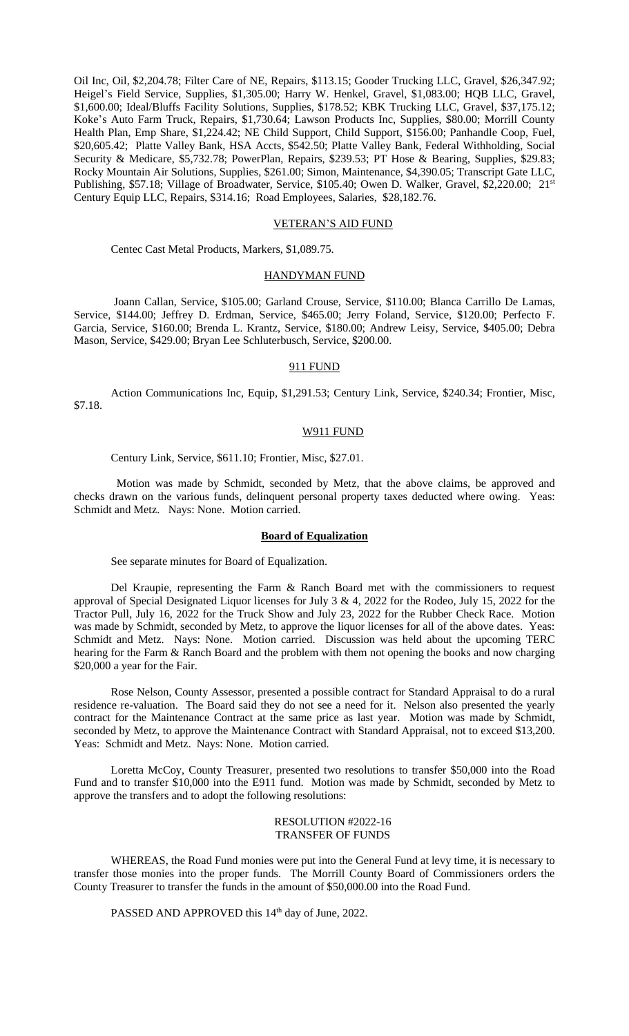Oil Inc, Oil, \$2,204.78; Filter Care of NE, Repairs, \$113.15; Gooder Trucking LLC, Gravel, \$26,347.92; Heigel's Field Service, Supplies, \$1,305.00; Harry W. Henkel, Gravel, \$1,083.00; HQB LLC, Gravel, \$1,600.00; Ideal/Bluffs Facility Solutions, Supplies, \$178.52; KBK Trucking LLC, Gravel, \$37,175.12; Koke's Auto Farm Truck, Repairs, \$1,730.64; Lawson Products Inc, Supplies, \$80.00; Morrill County Health Plan, Emp Share, \$1,224.42; NE Child Support, Child Support, \$156.00; Panhandle Coop, Fuel, \$20,605.42; Platte Valley Bank, HSA Accts, \$542.50; Platte Valley Bank, Federal Withholding, Social Security & Medicare, \$5,732.78; PowerPlan, Repairs, \$239.53; PT Hose & Bearing, Supplies, \$29.83; Rocky Mountain Air Solutions, Supplies, \$261.00; Simon, Maintenance, \$4,390.05; Transcript Gate LLC, Publishing, \$57.18; Village of Broadwater, Service, \$105.40; Owen D. Walker, Gravel, \$2,220.00; 21st Century Equip LLC, Repairs, \$314.16; Road Employees, Salaries, \$28,182.76.

#### VETERAN'S AID FUND

Centec Cast Metal Products, Markers, \$1,089.75.

#### HANDYMAN FUND

Joann Callan, Service, \$105.00; Garland Crouse, Service, \$110.00; Blanca Carrillo De Lamas, Service, \$144.00; Jeffrey D. Erdman, Service, \$465.00; Jerry Foland, Service, \$120.00; Perfecto F. Garcia, Service, \$160.00; Brenda L. Krantz, Service, \$180.00; Andrew Leisy, Service, \$405.00; Debra Mason, Service, \$429.00; Bryan Lee Schluterbusch, Service, \$200.00.

## 911 FUND

Action Communications Inc, Equip, \$1,291.53; Century Link, Service, \$240.34; Frontier, Misc, \$7.18.

#### W911 FUND

Century Link, Service, \$611.10; Frontier, Misc, \$27.01.

 Motion was made by Schmidt, seconded by Metz, that the above claims, be approved and checks drawn on the various funds, delinquent personal property taxes deducted where owing. Yeas: Schmidt and Metz. Nays: None. Motion carried.

## **Board of Equalization**

See separate minutes for Board of Equalization.

Del Kraupie, representing the Farm & Ranch Board met with the commissioners to request approval of Special Designated Liquor licenses for July 3 & 4, 2022 for the Rodeo, July 15, 2022 for the Tractor Pull, July 16, 2022 for the Truck Show and July 23, 2022 for the Rubber Check Race. Motion was made by Schmidt, seconded by Metz, to approve the liquor licenses for all of the above dates. Yeas: Schmidt and Metz. Nays: None. Motion carried. Discussion was held about the upcoming TERC hearing for the Farm & Ranch Board and the problem with them not opening the books and now charging \$20,000 a year for the Fair.

Rose Nelson, County Assessor, presented a possible contract for Standard Appraisal to do a rural residence re-valuation. The Board said they do not see a need for it. Nelson also presented the yearly contract for the Maintenance Contract at the same price as last year. Motion was made by Schmidt, seconded by Metz, to approve the Maintenance Contract with Standard Appraisal, not to exceed \$13,200. Yeas: Schmidt and Metz. Nays: None. Motion carried.

Loretta McCoy, County Treasurer, presented two resolutions to transfer \$50,000 into the Road Fund and to transfer \$10,000 into the E911 fund. Motion was made by Schmidt, seconded by Metz to approve the transfers and to adopt the following resolutions:

> RESOLUTION #2022-16 TRANSFER OF FUNDS

WHEREAS, the Road Fund monies were put into the General Fund at levy time, it is necessary to transfer those monies into the proper funds. The Morrill County Board of Commissioners orders the County Treasurer to transfer the funds in the amount of \$50,000.00 into the Road Fund.

PASSED AND APPROVED this 14<sup>th</sup> day of June, 2022.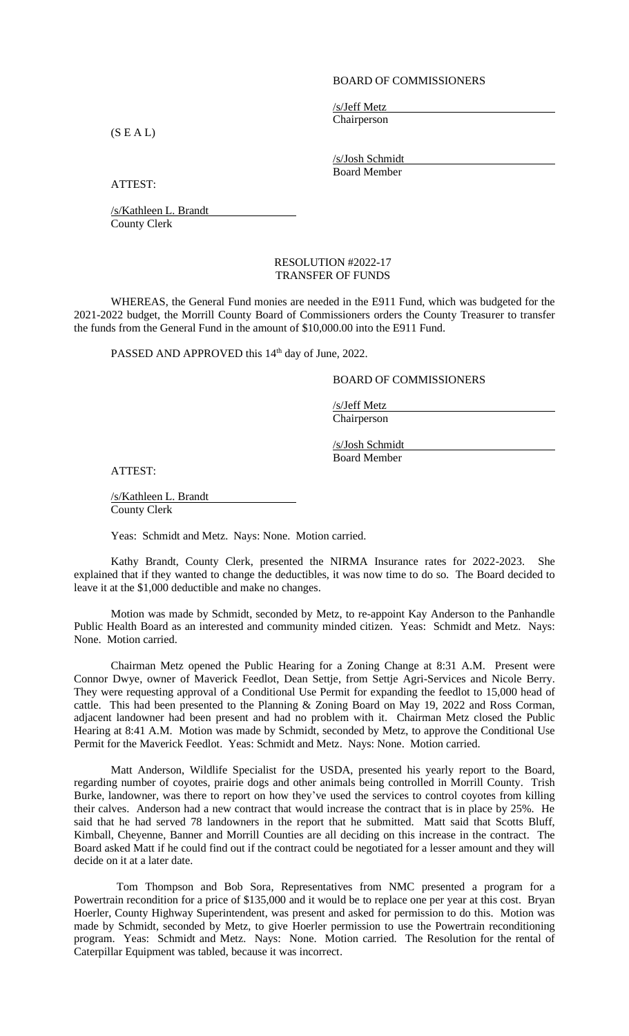# BOARD OF COMMISSIONERS

/s/Jeff Metz Chairperson

 $(S E A L)$ 

/s/Josh Schmidt

Board Member

ATTEST:

/s/Kathleen L. Brandt

County Clerk

## RESOLUTION #2022-17 TRANSFER OF FUNDS

WHEREAS, the General Fund monies are needed in the E911 Fund, which was budgeted for the 2021-2022 budget, the Morrill County Board of Commissioners orders the County Treasurer to transfer the funds from the General Fund in the amount of \$10,000.00 into the E911 Fund.

PASSED AND APPROVED this 14<sup>th</sup> day of June, 2022.

## BOARD OF COMMISSIONERS

/s/Jeff Metz Chairperson

/s/Josh Schmidt Board Member

ATTEST:

/s/Kathleen L. Brandt County Clerk

Yeas: Schmidt and Metz. Nays: None. Motion carried.

Kathy Brandt, County Clerk, presented the NIRMA Insurance rates for 2022-2023. She explained that if they wanted to change the deductibles, it was now time to do so. The Board decided to leave it at the \$1,000 deductible and make no changes.

Motion was made by Schmidt, seconded by Metz, to re-appoint Kay Anderson to the Panhandle Public Health Board as an interested and community minded citizen. Yeas: Schmidt and Metz. Nays: None. Motion carried.

Chairman Metz opened the Public Hearing for a Zoning Change at 8:31 A.M. Present were Connor Dwye, owner of Maverick Feedlot, Dean Settje, from Settje Agri-Services and Nicole Berry. They were requesting approval of a Conditional Use Permit for expanding the feedlot to 15,000 head of cattle. This had been presented to the Planning & Zoning Board on May 19, 2022 and Ross Corman, adjacent landowner had been present and had no problem with it. Chairman Metz closed the Public Hearing at 8:41 A.M. Motion was made by Schmidt, seconded by Metz, to approve the Conditional Use Permit for the Maverick Feedlot. Yeas: Schmidt and Metz. Nays: None. Motion carried.

Matt Anderson, Wildlife Specialist for the USDA, presented his yearly report to the Board, regarding number of coyotes, prairie dogs and other animals being controlled in Morrill County. Trish Burke, landowner, was there to report on how they've used the services to control coyotes from killing their calves. Anderson had a new contract that would increase the contract that is in place by 25%. He said that he had served 78 landowners in the report that he submitted. Matt said that Scotts Bluff, Kimball, Cheyenne, Banner and Morrill Counties are all deciding on this increase in the contract. The Board asked Matt if he could find out if the contract could be negotiated for a lesser amount and they will decide on it at a later date.

 Tom Thompson and Bob Sora, Representatives from NMC presented a program for a Powertrain recondition for a price of \$135,000 and it would be to replace one per year at this cost. Bryan Hoerler, County Highway Superintendent, was present and asked for permission to do this. Motion was made by Schmidt, seconded by Metz, to give Hoerler permission to use the Powertrain reconditioning program. Yeas: Schmidt and Metz. Nays: None. Motion carried. The Resolution for the rental of Caterpillar Equipment was tabled, because it was incorrect.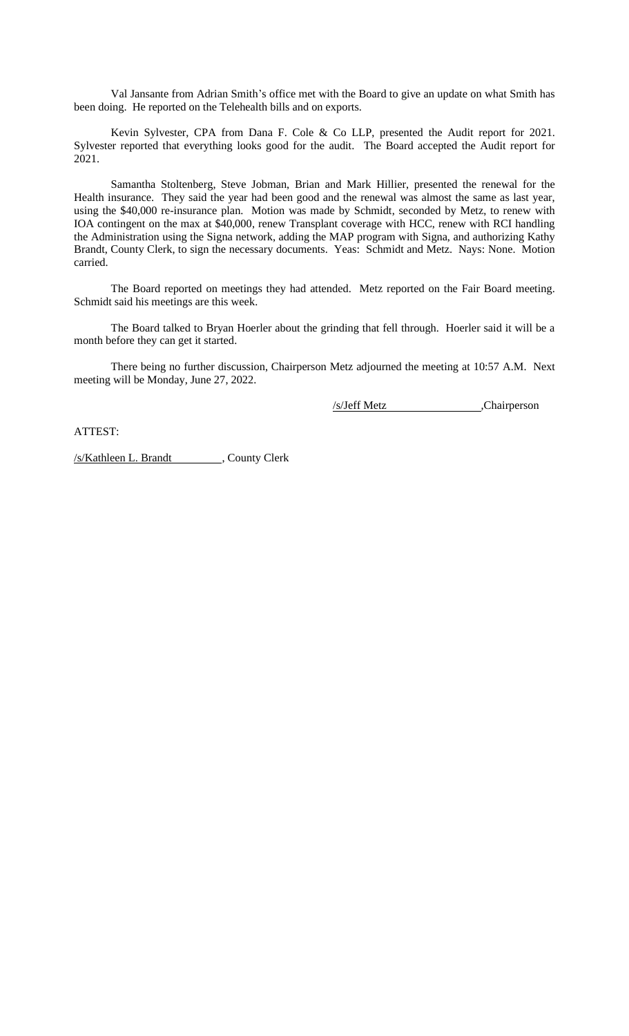Val Jansante from Adrian Smith's office met with the Board to give an update on what Smith has been doing. He reported on the Telehealth bills and on exports.

Kevin Sylvester, CPA from Dana F. Cole & Co LLP, presented the Audit report for 2021. Sylvester reported that everything looks good for the audit. The Board accepted the Audit report for 2021.

Samantha Stoltenberg, Steve Jobman, Brian and Mark Hillier, presented the renewal for the Health insurance. They said the year had been good and the renewal was almost the same as last year, using the \$40,000 re-insurance plan. Motion was made by Schmidt, seconded by Metz, to renew with IOA contingent on the max at \$40,000, renew Transplant coverage with HCC, renew with RCI handling the Administration using the Signa network, adding the MAP program with Signa, and authorizing Kathy Brandt, County Clerk, to sign the necessary documents. Yeas: Schmidt and Metz. Nays: None. Motion carried.

The Board reported on meetings they had attended. Metz reported on the Fair Board meeting. Schmidt said his meetings are this week.

The Board talked to Bryan Hoerler about the grinding that fell through. Hoerler said it will be a month before they can get it started.

There being no further discussion, Chairperson Metz adjourned the meeting at 10:57 A.M. Next meeting will be Monday, June 27, 2022.

/s/Jeff Metz ,Chairperson

ATTEST:

/s/Kathleen L. Brandt , County Clerk